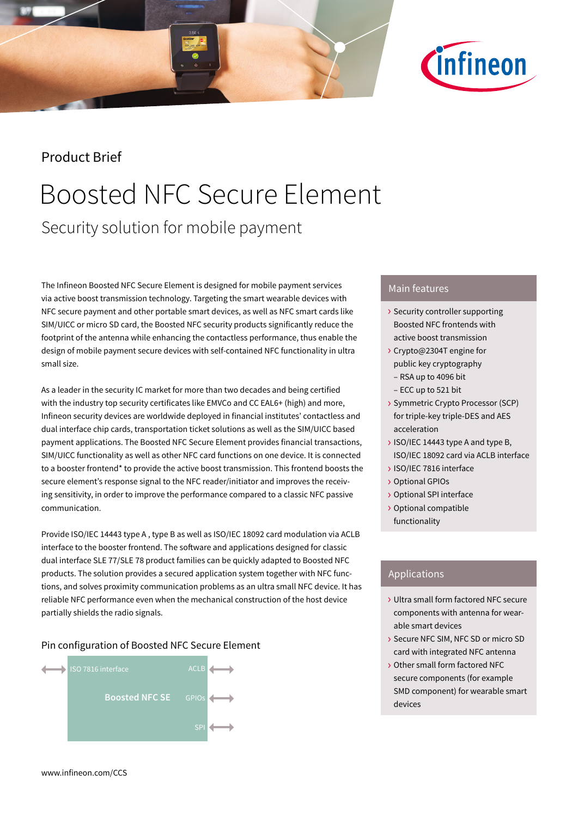

## Product Brief

## Boosted NFC Secure Element Security solution for mobile payment

The Infineon Boosted NFC Secure Element is designed for mobile payment services via active boost transmission technology. Targeting the smart wearable devices with NFC secure payment and other portable smart devices, as well as NFC smart cards like SIM/UICC or micro SD card, the Boosted NFC security products significantly reduce the footprint of the antenna while enhancing the contactless performance, thus enable the design of mobile payment secure devices with self-contained NFC functionality in ultra small size.

As a leader in the security IC market for more than two decades and being certified with the industry top security certificates like EMVCo and CC EAL6+ (high) and more, Infineon security devices are worldwide deployed in financial institutes' contactless and dual interface chip cards, transportation ticket solutions as well as the SIM/UICC based payment applications. The Boosted NFC Secure Element provides financial transactions, SIM/UICC functionality as well as other NFC card functions on one device. It is connected to a booster frontend\* to provide the active boost transmission. This frontend boosts the secure element's response signal to the NFC reader/initiator and improves the receiving sensitivity, in order to improve the performance compared to a classic NFC passive communication.

Provide ISO/IEC 14443 type A , type B as well as ISO/IEC 18092 card modulation via ACLB interface to the booster frontend. The software and applications designed for classic dual interface SLE 77/SLE 78 product families can be quickly adapted to Boosted NFC products. The solution provides a secured application system together with NFC functions, and solves proximity communication problems as an ultra small NFC device. It has reliable NFC performance even when the mechanical construction of the host device partially shields the radio signals.

#### Pin configuration of Boosted NFC Secure Element



### Main features

- › Security controller supporting Boosted NFC frontends with active boost transmission
- › Crypto@2304T engine for public key cryptography
	- RSA up to 4096 bit
- ECC up to 521 bit
- › Symmetric Crypto Processor (SCP) for triple-key triple-DES and AES acceleration
- › ISO/IEC 14443 type A and type B, ISO/IEC 18092 card via ACLB interface
- › ISO/IEC 7816 interface
- › Optional GPIOs
- › Optional SPI interface
- › Optional compatible functionality

### Applications

- › Ultra small form factored NFC secure components with antenna for wearable smart devices
- › Secure NFC SIM, NFC SD or micro SD card with integrated NFC antenna
- › Other small form factored NFC secure components (for example SMD component) for wearable smart devices